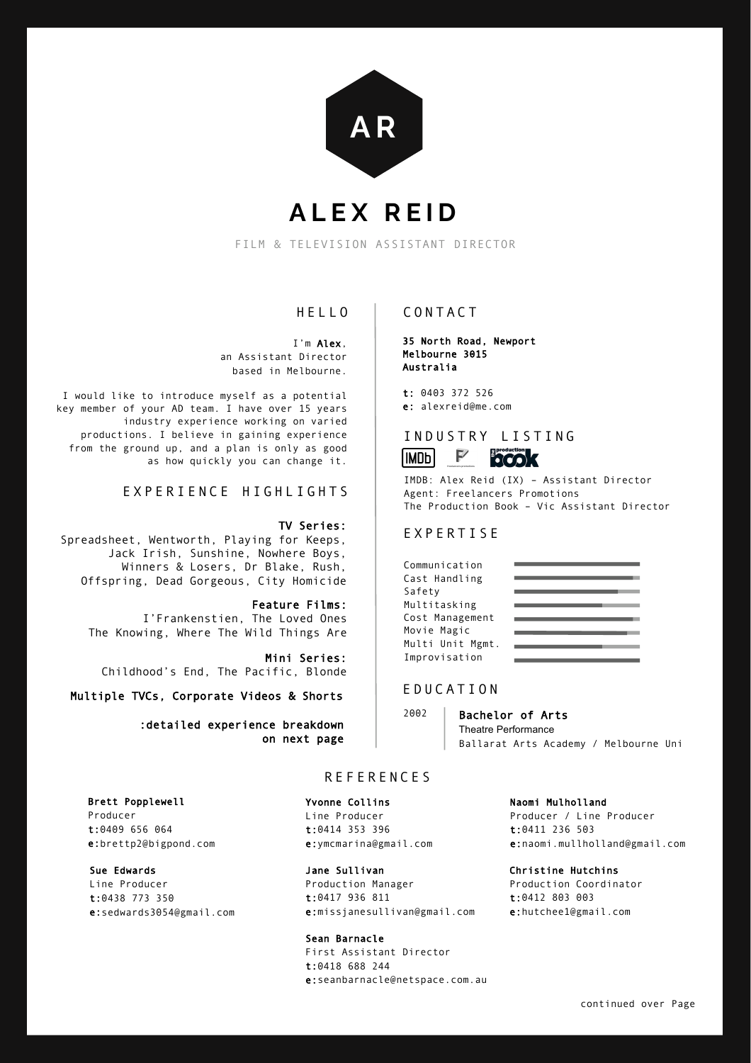

# **ALEX REID**

FILM & TELEVISION ASSISTANT DIRECTOR

# HELLO

I'm Alex, an Assistant Director based in Melbourne.

I would like to introduce myself as a potential key member of your AD team. I have over 15 years industry experience working on varied productions. I believe in gaining experience from the ground up, and a plan is only as good as how quickly you can change it.

# EXPERIENCE HIGHLIGHTS

#### TV Series:

Spreadsheet, Wentworth, Playing for Keeps, Jack Irish, Sunshine, Nowhere Boys, Winners & Losers, Dr Blake, Rush, Offspring, Dead Gorgeous, City Homicide

Feature Films: I'Frankenstien, The Loved Ones The Knowing, Where The Wild Things Are

Mini Series: Childhood's End, The Pacific, Blonde

Multiple TVCs, Corporate Videos & Shorts

:detailed experience breakdown on next page

#### Brett Popplewell

Producer t:0409 656 064 e:brettp2@bigpond.com

#### Sue Edwards

Line Producer t:0438 773 350 e:sedwards3054@gmail.com

## CONTACT

35 North Road, Newport Melbourne 3015 Australia

t: 0403 372 526 e: alexreid@me.com

# INDUSTRY LISTING



IMDB: Alex Reid (IX) – Assistant Director Agent: Freelancers Promotions The Production Book – Vic Assistant Director

# EXPERTISE

| Communication    |  |
|------------------|--|
| Cast Handling    |  |
| Safety           |  |
| Multitasking     |  |
| Cost Management  |  |
| Movie Magic      |  |
| Multi Unit Mgmt. |  |
| Improvisation    |  |

#### EDUCATION

2002 Bachelor of Arts Theatre Performance Ballarat Arts Academy / Melbourne Uni

### REFERENCES

#### Yvonne Collins

Line Producer t:0414 353 396 e:ymcmarina@gmail.com

# Jane Sullivan

Production Manager t:0417 936 811 e:missjanesullivan@gmail.com

#### Sean Barnacle

First Assistant Director t:0418 688 244 e:seanbarnacle@netspace.com.au

Naomi Mulholland Producer / Line Producer t:0411 236 503 e:naomi.mullholland@gmail.com

Christine Hutchins Production Coordinator t:0412 803 003 e:hutchee1@gmail.com